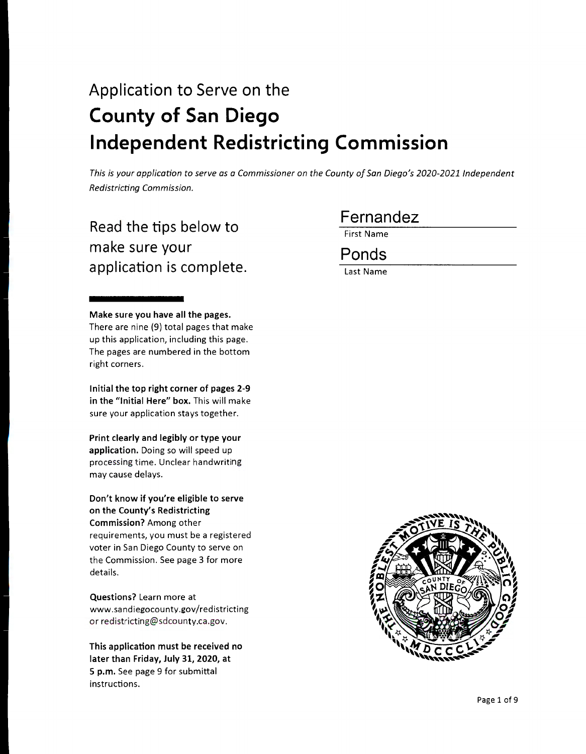# Application to Serve on the **County of San Diego Independent Redistricting Commission**

*This is your application to serve as a Commissioner on the County of San Diego's 2020-2021 Jndependent Redistricting Commission.* 

## Read the tips below to make sure your application is complete.

**Make sure you have all the pages.**  There are nine (9) total pages that make up this application, including this page. The pages are numbered in the bottom right corners.

**Initial the top right corner of pages 2-9 in the "Initial Here" box.** This will make sure your application stays together.

**Print clearly and legibly or type your application.** Doing so will speed up processing time. Unclear handwriting may cause delays.

**Don't know if you're eligible to serve on the County's Redistricting Commission?** Among other requirements, you must be a registered voter in San Diego County to serve on the Commission. See page 3 for more details.

**Questions?** Learn more at www.sandiegocounty.gov/redistricting or redistricting@sdcounty.ca .gov.

**This application must be received no later than Friday, July 31, 2020, at 5 p.m.** See page 9 for submittal instructions.

## Fernandez

First Name

Ponds

Last Name

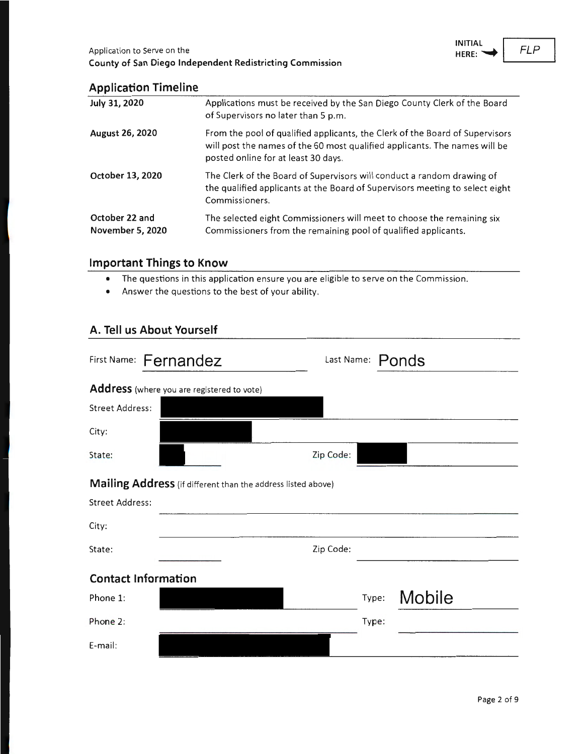

### **Application Timeline**

| July 31, 2020                             | Applications must be received by the San Diego County Clerk of the Board<br>of Supervisors no later than 5 p.m.                                                                                   |
|-------------------------------------------|---------------------------------------------------------------------------------------------------------------------------------------------------------------------------------------------------|
| August 26, 2020                           | From the pool of qualified applicants, the Clerk of the Board of Supervisors<br>will post the names of the 60 most qualified applicants. The names will be<br>posted online for at least 30 days. |
| October 13, 2020                          | The Clerk of the Board of Supervisors will conduct a random drawing of<br>the qualified applicants at the Board of Supervisors meeting to select eight<br>Commissioners.                          |
| October 22 and<br><b>November 5, 2020</b> | The selected eight Commissioners will meet to choose the remaining six<br>Commissioners from the remaining pool of qualified applicants.                                                          |

### **Important Things to Know**

- The questions in this application ensure you are eligible to serve on the Commission .
- Answer the questions to the best of your ability.

#### **A. Tell us About Yourself**

| First Name: Fernandez                                        | Last Name: Ponds |
|--------------------------------------------------------------|------------------|
| Address (where you are registered to vote)                   |                  |
| <b>Street Address:</b>                                       |                  |
| City:                                                        |                  |
| State:                                                       | Zip Code:        |
| Mailing Address (if different than the address listed above) |                  |
| <b>Street Address:</b>                                       |                  |
| City:                                                        |                  |
| State:                                                       | Zip Code:        |
| <b>Contact Information</b>                                   |                  |
| Phone 1:                                                     | Mobile<br>Type:  |
| Phione 2:                                                    | Type:            |
| E-mail:                                                      |                  |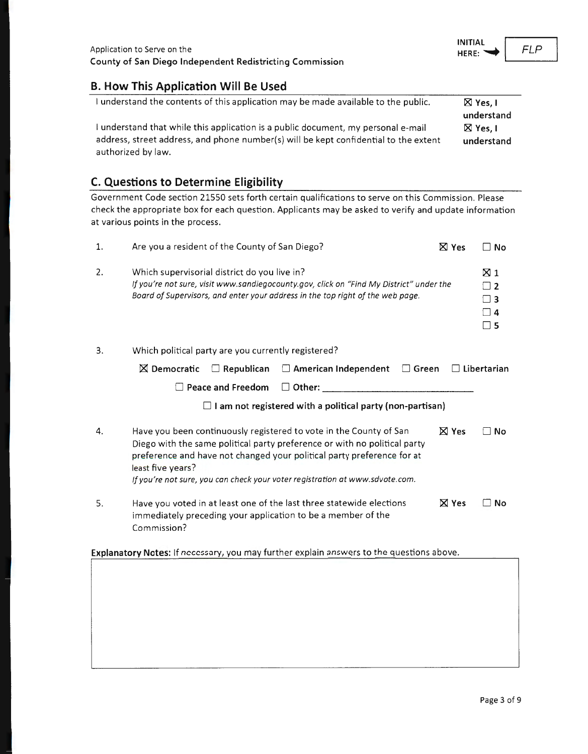#### **B. How This Application Will Be Used**

| understand the contents of this application may be made available to the public.     | $\boxtimes$ Yes, I |
|--------------------------------------------------------------------------------------|--------------------|
|                                                                                      | understand         |
| I understand that while this application is a public document, my personal e-mail    | $\boxtimes$ Yes. I |
| address, street address, and phone number(s) will be kept confidential to the extent | understand         |
| authorized by law.                                                                   |                    |

## **C. Questions to Determine Eligibility**

Government Code section 21550 sets forth certain qualifications to serve on this Commission. Please check the appropriate box for each question. Applicants may be asked to verify and update information at various points in the process .

| 1.                                                                                       | Are you a resident of the County of San Diego?                                                                                                                                                                                                                                                                                 | $\boxtimes$ Yes | ∩ No                                                     |
|------------------------------------------------------------------------------------------|--------------------------------------------------------------------------------------------------------------------------------------------------------------------------------------------------------------------------------------------------------------------------------------------------------------------------------|-----------------|----------------------------------------------------------|
| 2.                                                                                       | Which supervisorial district do you live in?<br>If you're not sure, visit www.sandiegocounty.gov, click on "Find My District" under the<br>Board of Supervisors, and enter your address in the top right of the web page.                                                                                                      |                 | $\boxtimes$ 1<br>$\sqsupset$ 2<br>∃ 3<br>∃ 4<br>$\Box$ 5 |
| 3.                                                                                       | Which political party are you currently registered?                                                                                                                                                                                                                                                                            |                 |                                                          |
|                                                                                          | $\boxtimes$ Democratic<br>$\Box$ Republican $\Box$ American Independent<br>$\Box$ Green                                                                                                                                                                                                                                        |                 | $\Box$ Libertarian                                       |
|                                                                                          | Peace and Freedom<br>$\square$ Other:                                                                                                                                                                                                                                                                                          |                 |                                                          |
|                                                                                          | I am not registered with a political party (non-partisan)                                                                                                                                                                                                                                                                      |                 |                                                          |
| 4.                                                                                       | Have you been continuously registered to vote in the County of San<br>Diego with the same political party preference or with no political party<br>preference and have not changed your political party preference for at<br>least five years?<br>If you're not sure, you can check your voter registration at www.sdvote.com. | $\boxtimes$ Yes | ∃ No                                                     |
| 5.                                                                                       | Have you voted in at least one of the last three statewide elections<br>immediately preceding your application to be a member of the<br>Commission?                                                                                                                                                                            | $\boxtimes$ Yes | No                                                       |
| Explanatory Notes: If necessary, you may further explain answers to the questions above. |                                                                                                                                                                                                                                                                                                                                |                 |                                                          |
|                                                                                          |                                                                                                                                                                                                                                                                                                                                |                 |                                                          |

FLP

**INITIAL HERE:~**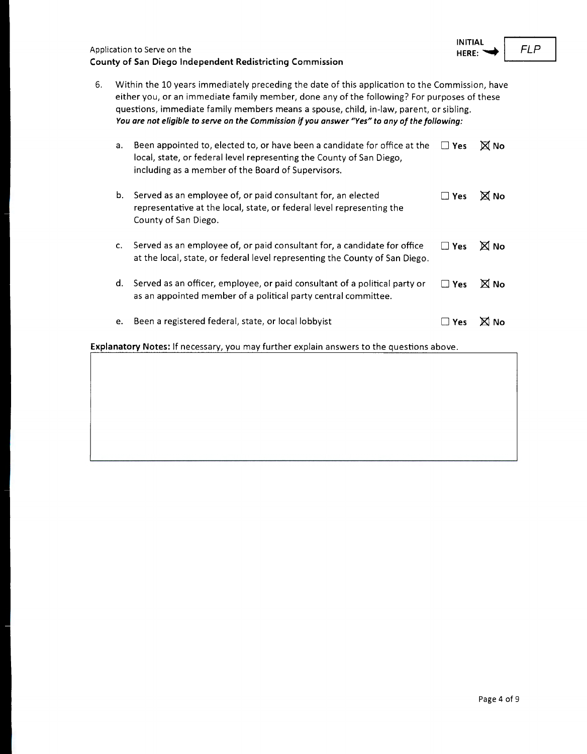| Application to Serve on the                              |  |
|----------------------------------------------------------|--|
| County of San Diego Independent Redistricting Commission |  |

| 6. | Within the 10 years immediately preceding the date of this application to the Commission, have<br>either you, or an immediate family member, done any of the following? For purposes of these<br>questions, immediate family members means a spouse, child, in-law, parent, or sibling.<br>You are not eligible to serve on the Commission if you answer "Yes" to any of the following: |                                                                                                                                                                                                         |               |                 |
|----|-----------------------------------------------------------------------------------------------------------------------------------------------------------------------------------------------------------------------------------------------------------------------------------------------------------------------------------------------------------------------------------------|---------------------------------------------------------------------------------------------------------------------------------------------------------------------------------------------------------|---------------|-----------------|
|    | a.                                                                                                                                                                                                                                                                                                                                                                                      | Been appointed to, elected to, or have been a candidate for office at the<br>local, state, or federal level representing the County of San Diego,<br>including as a member of the Board of Supervisors. | $\Box$ Yes    | <b>X</b> No     |
|    | b.                                                                                                                                                                                                                                                                                                                                                                                      | Served as an employee of, or paid consultant for, an elected<br>representative at the local, state, or federal level representing the<br>County of San Diego.                                           | $\square$ Yes | <b>X</b> No     |
|    | c.                                                                                                                                                                                                                                                                                                                                                                                      | Served as an employee of, or paid consultant for, a candidate for office<br>at the local, state, or federal level representing the County of San Diego.                                                 | $\square$ Yes | $\times$ No     |
|    | d.                                                                                                                                                                                                                                                                                                                                                                                      | Served as an officer, employee, or paid consultant of a political party or<br>as an appointed member of a political party central committee.                                                            | $\Box$ Yes    | <b>X</b> No     |
|    | e.                                                                                                                                                                                                                                                                                                                                                                                      | Been a registered federal, state, or local lobbyist                                                                                                                                                     | l I Yes       | X)<br><b>No</b> |

**Explanatory Notes:** If necessary, you may further explain answers to the questions above .

FLP

**INITIAL HERE:**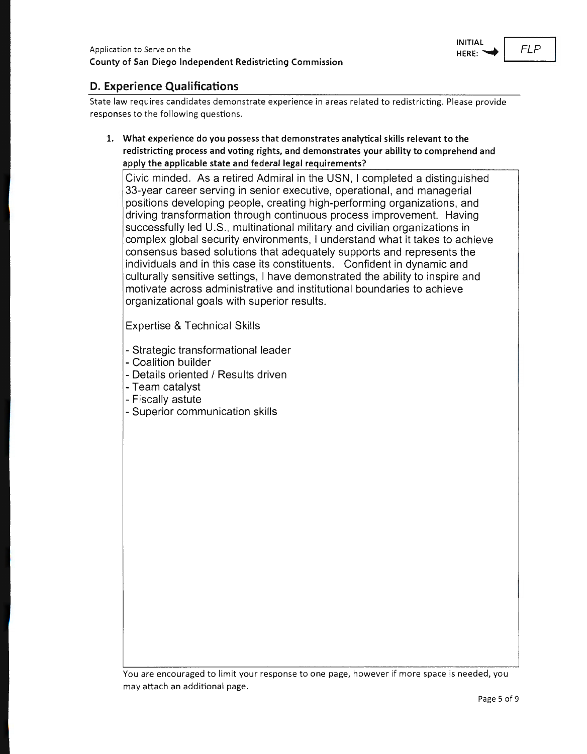

#### **D. Experience Qualifications**

State law requires candidates demonstrate experience in areas related to redistricting. Please provide responses to the following questions.

**1. What experience do you possess that demonstrates analytical skills relevant to the redistricting process and voting rights, and demonstrates your ability to comprehend and apply the applicable state and federal legal requirements?** 

Civic minded . As a retired Admiral in the USN , I completed a distinguished 33-year career serving in senior executive, operational, and managerial positions developing people, creating high-performing organizations, and driving transformation through continuous process improvement. Having successfully led U.S., multinational military and civilian organizations in complex global security environments, I understand what it takes to achieve consensus based solutions that adequately supports and represents the individuals and in this case its constituents. Confident in dynamic and culturally sensitive settings, I have demonstrated the ability to inspire and motivate across administrative and institutional boundaries to achieve organizational goals with superior results.

Expertise & Technical Skills

- Strategic transformational leader
- Coalition builder
- Details oriented / Results driven
- Team catalyst
- Fiscally astute
- Superior communication skills

You are encouraged to limit your response to one page, however if more space is needed, you may attach an additional page.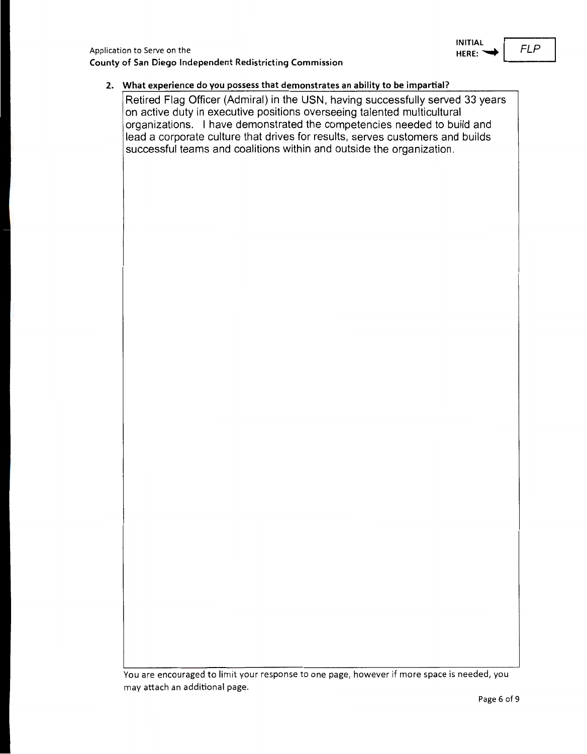

#### **2. What experience do you possess that demonstrates an ability to be impartial?**

Retired Flag Officer (Admiral) in the USN, having successfully served 33 years on active duty in executive positions overseeing talented multicultural organizations. I have demonstrated the competencies needed to build and lead a corporate culture that drives for results, serves customers and builds successful teams and coalitions within and outside the organization.

You are encouraged to limit your response to one page, however if more space is needed, you may attach an additional page.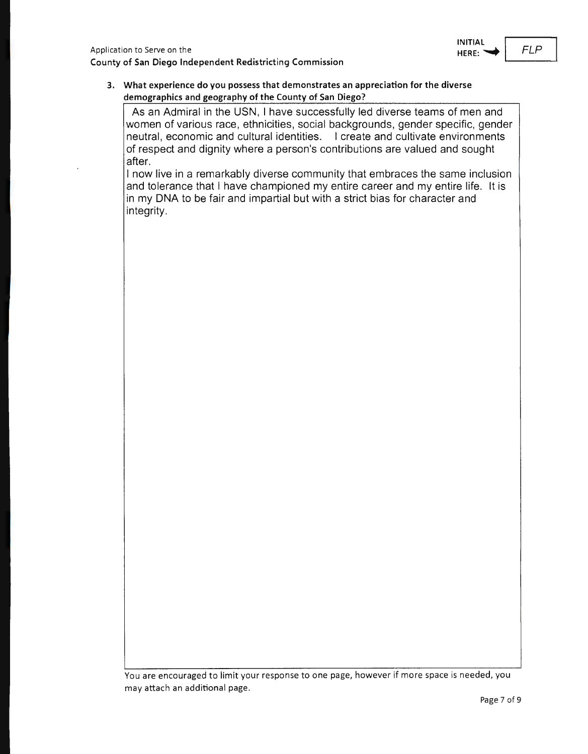**3. What experience do you possess that demonstrates an appreciation for the diverse demographics and geography of the County of San Diego?** 

As an Admiral in the USN, I have successfully led diverse teams of men and women of various race, ethnicities, social backgrounds, gender specific, gender neutral, economic and cultural identities. I create and cultivate environments of respect and dignity where a person's contributions are valued and sought after.

I now live in a remarkably diverse community that embraces the same inclusion and tolerance that I have championed my entire career and my entire life. It is in my DNA to be fair and impartial but with a strict bias for character and integrity.

You are encouraged to limit your response to one page, however if more space is needed, you may attach an additional page.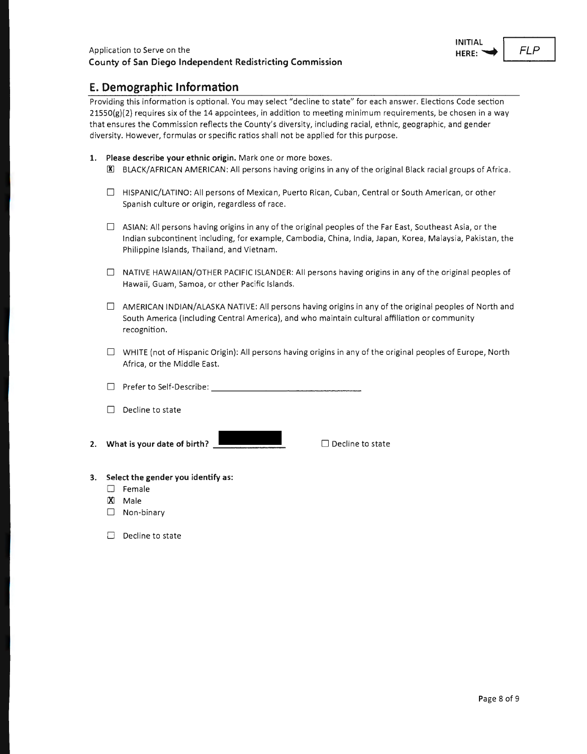

#### **E. Demographic Information**

Providing this information is optional. You may select "decline to state" for each answer. Elections Code section  $21550(g)(2)$  requires six of the 14 appointees, in addition to meeting minimum requirements, be chosen in a way that ensures the Commission reflects the County's diversity, including racial, ethnic, geographic, and gender diversity. However, formulas or specific ratios shall not be applied for this purpose.

- **1. Please describe your ethnic origin.** Mark one or more boxes.
	- 00 BLACK/ AFRICAN AMERICAN: All persons having origins in any of the original Black racial groups of Africa .
	- D HISPANIC/LATINO: All persons of Mexican, Puerto Rican, Cuban, Central or South American, or other Spanish culture or origin, regardless of race .
	- $\Box$  ASIAN: All persons having origins in any of the original peoples of the Far East, Southeast Asia, or the Indian subcontinent including, for example, Cambodia, China, India, Japan, Korea, Malaysia, Pakistan, the Philippine Islands, Thailand, and Vietnam.
	- $\Box$  NATIVE HAWAIIAN/OTHER PACIFIC ISLANDER: All persons having origins in any of the original peoples of Hawaii, Guam, Samoa, or other Pacific Islands.
	- $\Box$  AMERICAN INDIAN/ALASKA NATIVE: All persons having origins in any of the original peoples of North and South America (including Central America), and who maintain cultural affiliation or community recognition.
	- $\Box$  WHITE (not of Hispanic Origin): All persons having origins in any of the original peoples of Europe, North Africa, or the Middle East.
	- $\Box$  Prefer to Self-Describe:  $\Box$  . The set of  $\Box$
	- $\Box$  Decline to state
- **2. What is your date of birth?** \_

 $\square$  Decline to state

- **3. Select the gender you identify as:** 
	- D Female
	- IX! Male
	- $\Box$  Non-binary
	- $\Box$  Decline to state